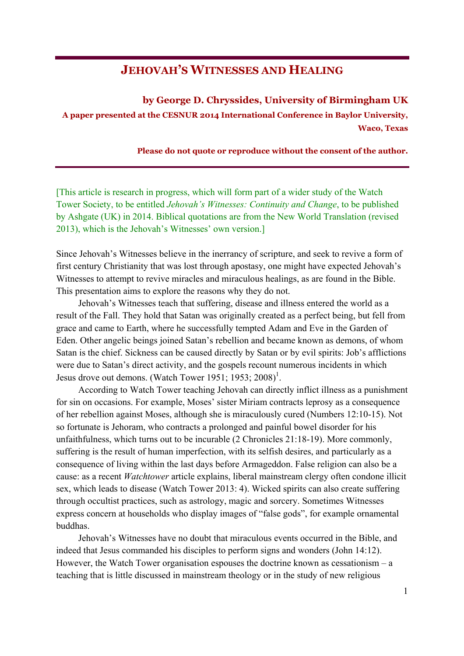## **JEHOVAH'S WITNESSES AND HEALING**

**by George D. Chryssides, University of Birmingham UK A paper presented at the CESNUR 2014 International Conference in Baylor University, Waco, Texas** 

**Please do not quote or reproduce without the consent of the author.**

[This article is research in progress, which will form part of a wider study of the Watch Tower Society, to be entitled *Jehovah's Witnesses: Continuity and Change*, to be published by Ashgate (UK) in 2014. Biblical quotations are from the New World Translation (revised 2013), which is the Jehovah's Witnesses' own version.]

Since Jehovah's Witnesses believe in the inerrancy of scripture, and seek to revive a form of first century Christianity that was lost through apostasy, one might have expected Jehovah's Witnesses to attempt to revive miracles and miraculous healings, as are found in the Bible. This presentation aims to explore the reasons why they do not.

Jehovah's Witnesses teach that suffering, disease and illness entered the world as a result of the Fall. They hold that Satan was originally created as a perfect being, but fell from grace and came to Earth, where he successfully tempted Adam and Eve in the Garden of Eden. Other angelic beings joined Satan's rebellion and became known as demons, of whom Satan is the chief. Sickness can be caused directly by Satan or by evil spirits: Job's afflictions were due to Satan's direct activity, and the gospels recount numerous incidents in which Jesus drove out demons. (Watch Tower 1951; 1953; 2008)<sup>1</sup>.

According to Watch Tower teaching Jehovah can directly inflict illness as a punishment for sin on occasions. For example, Moses' sister Miriam contracts leprosy as a consequence of her rebellion against Moses, although she is miraculously cured (Numbers 12:10-15). Not so fortunate is Jehoram, who contracts a prolonged and painful bowel disorder for his unfaithfulness, which turns out to be incurable (2 Chronicles 21:18-19). More commonly, suffering is the result of human imperfection, with its selfish desires, and particularly as a consequence of living within the last days before Armageddon. False religion can also be a cause: as a recent *Watchtower* article explains, liberal mainstream clergy often condone illicit sex, which leads to disease (Watch Tower 2013: 4). Wicked spirits can also create suffering through occultist practices, such as astrology, magic and sorcery. Sometimes Witnesses express concern at households who display images of "false gods", for example ornamental buddhas.

Jehovah's Witnesses have no doubt that miraculous events occurred in the Bible, and indeed that Jesus commanded his disciples to perform signs and wonders (John 14:12). However, the Watch Tower organisation espouses the doctrine known as cessationism  $- a$ teaching that is little discussed in mainstream theology or in the study of new religious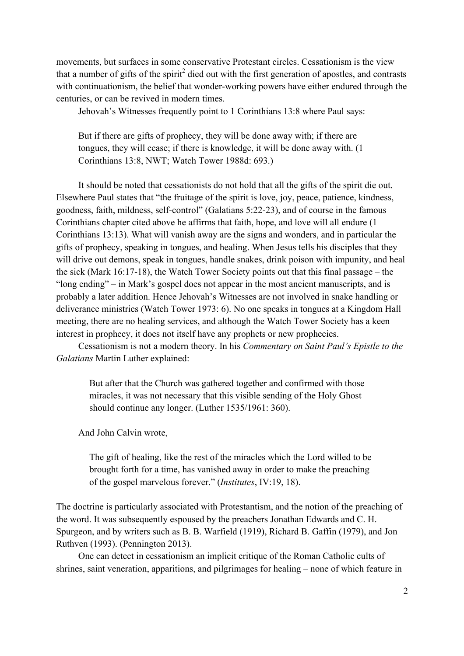movements, but surfaces in some conservative Protestant circles. Cessationism is the view that a number of gifts of the spirit<sup>2</sup> died out with the first generation of apostles, and contrasts with continuationism, the belief that wonder-working powers have either endured through the centuries, or can be revived in modern times.

Jehovah's Witnesses frequently point to 1 Corinthians 13:8 where Paul says:

But if there are gifts of prophecy, they will be done away with; if there are tongues, they will cease; if there is knowledge, it will be done away with. (1 Corinthians 13:8, NWT; Watch Tower 1988d: 693.)

It should be noted that cessationists do not hold that all the gifts of the spirit die out. Elsewhere Paul states that "the fruitage of the spirit is love, joy, peace, patience, kindness, goodness, faith, mildness, self-control" (Galatians 5:22-23), and of course in the famous Corinthians chapter cited above he affirms that faith, hope, and love will all endure (1 Corinthians 13:13). What will vanish away are the signs and wonders, and in particular the gifts of prophecy, speaking in tongues, and healing. When Jesus tells his disciples that they will drive out demons, speak in tongues, handle snakes, drink poison with impunity, and heal the sick (Mark 16:17-18), the Watch Tower Society points out that this final passage – the "long ending" – in Mark's gospel does not appear in the most ancient manuscripts, and is probably a later addition. Hence Jehovah's Witnesses are not involved in snake handling or deliverance ministries (Watch Tower 1973: 6). No one speaks in tongues at a Kingdom Hall meeting, there are no healing services, and although the Watch Tower Society has a keen interest in prophecy, it does not itself have any prophets or new prophecies.

Cessationism is not a modern theory. In his *Commentary on Saint Paul's Epistle to the Galatians* Martin Luther explained:

But after that the Church was gathered together and confirmed with those miracles, it was not necessary that this visible sending of the Holy Ghost should continue any longer. (Luther 1535/1961: 360).

And John Calvin wrote,

The gift of healing, like the rest of the miracles which the Lord willed to be brought forth for a time, has vanished away in order to make the preaching of the gospel marvelous forever." (*Institutes*, IV:19, 18).

The doctrine is particularly associated with Protestantism, and the notion of the preaching of the word. It was subsequently espoused by the preachers Jonathan Edwards and C. H. Spurgeon, and by writers such as B. B. Warfield (1919), Richard B. Gaffin (1979), and Jon Ruthven (1993). (Pennington 2013).

One can detect in cessationism an implicit critique of the Roman Catholic cults of shrines, saint veneration, apparitions, and pilgrimages for healing – none of which feature in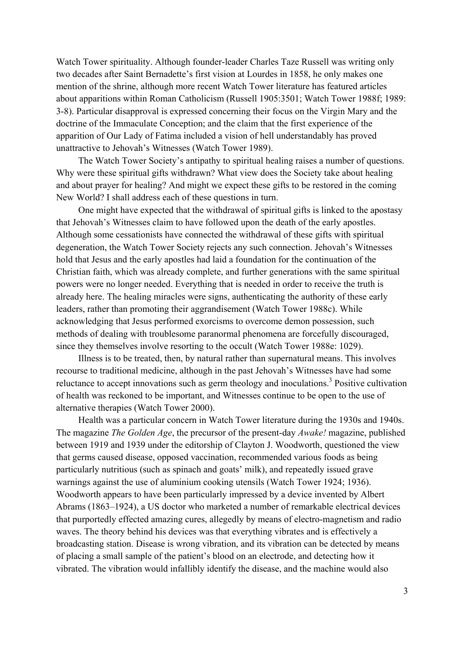Watch Tower spirituality. Although founder-leader Charles Taze Russell was writing only two decades after Saint Bernadette's first vision at Lourdes in 1858, he only makes one mention of the shrine, although more recent Watch Tower literature has featured articles about apparitions within Roman Catholicism (Russell 1905:3501; Watch Tower 1988f; 1989: 3-8). Particular disapproval is expressed concerning their focus on the Virgin Mary and the doctrine of the Immaculate Conception; and the claim that the first experience of the apparition of Our Lady of Fatima included a vision of hell understandably has proved unattractive to Jehovah's Witnesses (Watch Tower 1989).

The Watch Tower Society's antipathy to spiritual healing raises a number of questions. Why were these spiritual gifts withdrawn? What view does the Society take about healing and about prayer for healing? And might we expect these gifts to be restored in the coming New World? I shall address each of these questions in turn.

One might have expected that the withdrawal of spiritual gifts is linked to the apostasy that Jehovah's Witnesses claim to have followed upon the death of the early apostles. Although some cessationists have connected the withdrawal of these gifts with spiritual degeneration, the Watch Tower Society rejects any such connection. Jehovah's Witnesses hold that Jesus and the early apostles had laid a foundation for the continuation of the Christian faith, which was already complete, and further generations with the same spiritual powers were no longer needed. Everything that is needed in order to receive the truth is already here. The healing miracles were signs, authenticating the authority of these early leaders, rather than promoting their aggrandisement (Watch Tower 1988c). While acknowledging that Jesus performed exorcisms to overcome demon possession, such methods of dealing with troublesome paranormal phenomena are forcefully discouraged, since they themselves involve resorting to the occult (Watch Tower 1988e: 1029).

Illness is to be treated, then, by natural rather than supernatural means. This involves recourse to traditional medicine, although in the past Jehovah's Witnesses have had some reluctance to accept innovations such as germ theology and inoculations.<sup>3</sup> Positive cultivation of health was reckoned to be important, and Witnesses continue to be open to the use of alternative therapies (Watch Tower 2000).

Health was a particular concern in Watch Tower literature during the 1930s and 1940s. The magazine *The Golden Age*, the precursor of the present-day *Awake!* magazine, published between 1919 and 1939 under the editorship of Clayton J. Woodworth, questioned the view that germs caused disease, opposed vaccination, recommended various foods as being particularly nutritious (such as spinach and goats' milk), and repeatedly issued grave warnings against the use of aluminium cooking utensils (Watch Tower 1924; 1936). Woodworth appears to have been particularly impressed by a device invented by Albert Abrams (1863–1924), a US doctor who marketed a number of remarkable electrical devices that purportedly effected amazing cures, allegedly by means of electro-magnetism and radio waves. The theory behind his devices was that everything vibrates and is effectively a broadcasting station. Disease is wrong vibration, and its vibration can be detected by means of placing a small sample of the patient's blood on an electrode, and detecting how it vibrated. The vibration would infallibly identify the disease, and the machine would also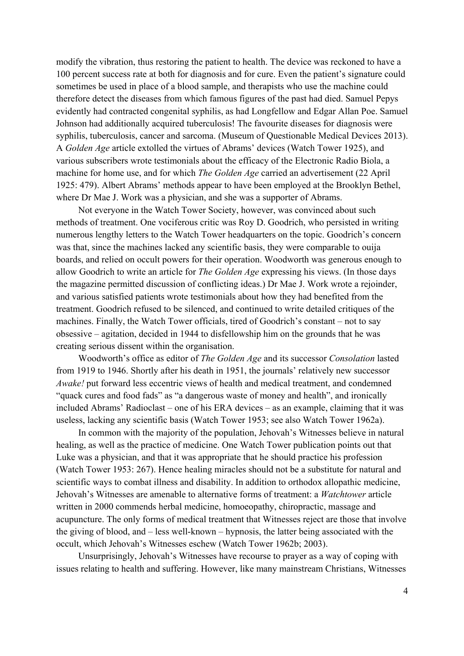modify the vibration, thus restoring the patient to health. The device was reckoned to have a 100 percent success rate at both for diagnosis and for cure. Even the patient's signature could sometimes be used in place of a blood sample, and therapists who use the machine could therefore detect the diseases from which famous figures of the past had died. Samuel Pepys evidently had contracted congenital syphilis, as had Longfellow and Edgar Allan Poe. Samuel Johnson had additionally acquired tuberculosis! The favourite diseases for diagnosis were syphilis, tuberculosis, cancer and sarcoma. (Museum of Questionable Medical Devices 2013). A *Golden Age* article extolled the virtues of Abrams' devices (Watch Tower 1925), and various subscribers wrote testimonials about the efficacy of the Electronic Radio Biola, a machine for home use, and for which *The Golden Age* carried an advertisement (22 April 1925: 479). Albert Abrams' methods appear to have been employed at the Brooklyn Bethel, where Dr Mae J. Work was a physician, and she was a supporter of Abrams.

Not everyone in the Watch Tower Society, however, was convinced about such methods of treatment. One vociferous critic was Roy D. Goodrich, who persisted in writing numerous lengthy letters to the Watch Tower headquarters on the topic. Goodrich's concern was that, since the machines lacked any scientific basis, they were comparable to ouija boards, and relied on occult powers for their operation. Woodworth was generous enough to allow Goodrich to write an article for *The Golden Age* expressing his views. (In those days the magazine permitted discussion of conflicting ideas.) Dr Mae J. Work wrote a rejoinder, and various satisfied patients wrote testimonials about how they had benefited from the treatment. Goodrich refused to be silenced, and continued to write detailed critiques of the machines. Finally, the Watch Tower officials, tired of Goodrich's constant – not to say obsessive – agitation, decided in 1944 to disfellowship him on the grounds that he was creating serious dissent within the organisation.

Woodworth's office as editor of *The Golden Age* and its successor *Consolation* lasted from 1919 to 1946. Shortly after his death in 1951, the journals' relatively new successor *Awake!* put forward less eccentric views of health and medical treatment, and condemned "quack cures and food fads" as "a dangerous waste of money and health", and ironically included Abrams' Radioclast – one of his ERA devices – as an example, claiming that it was useless, lacking any scientific basis (Watch Tower 1953; see also Watch Tower 1962a).

In common with the majority of the population, Jehovah's Witnesses believe in natural healing, as well as the practice of medicine. One Watch Tower publication points out that Luke was a physician, and that it was appropriate that he should practice his profession (Watch Tower 1953: 267). Hence healing miracles should not be a substitute for natural and scientific ways to combat illness and disability. In addition to orthodox allopathic medicine, Jehovah's Witnesses are amenable to alternative forms of treatment: a *Watchtower* article written in 2000 commends herbal medicine, homoeopathy, chiropractic, massage and acupuncture. The only forms of medical treatment that Witnesses reject are those that involve the giving of blood, and – less well-known – hypnosis, the latter being associated with the occult, which Jehovah's Witnesses eschew (Watch Tower 1962b; 2003).

Unsurprisingly, Jehovah's Witnesses have recourse to prayer as a way of coping with issues relating to health and suffering. However, like many mainstream Christians, Witnesses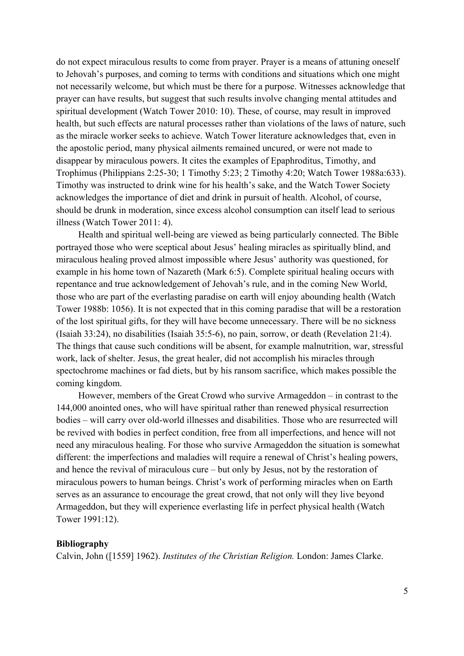do not expect miraculous results to come from prayer. Prayer is a means of attuning oneself to Jehovah's purposes, and coming to terms with conditions and situations which one might not necessarily welcome, but which must be there for a purpose. Witnesses acknowledge that prayer can have results, but suggest that such results involve changing mental attitudes and spiritual development (Watch Tower 2010: 10). These, of course, may result in improved health, but such effects are natural processes rather than violations of the laws of nature, such as the miracle worker seeks to achieve. Watch Tower literature acknowledges that, even in the apostolic period, many physical ailments remained uncured, or were not made to disappear by miraculous powers. It cites the examples of Epaphroditus, Timothy, and Trophimus (Philippians 2:25-30; 1 Timothy 5:23; 2 Timothy 4:20; Watch Tower 1988a:633). Timothy was instructed to drink wine for his health's sake, and the Watch Tower Society acknowledges the importance of diet and drink in pursuit of health. Alcohol, of course, should be drunk in moderation, since excess alcohol consumption can itself lead to serious illness (Watch Tower 2011: 4).

Health and spiritual well-being are viewed as being particularly connected. The Bible portrayed those who were sceptical about Jesus' healing miracles as spiritually blind, and miraculous healing proved almost impossible where Jesus' authority was questioned, for example in his home town of Nazareth (Mark 6:5). Complete spiritual healing occurs with repentance and true acknowledgement of Jehovah's rule, and in the coming New World, those who are part of the everlasting paradise on earth will enjoy abounding health (Watch Tower 1988b: 1056). It is not expected that in this coming paradise that will be a restoration of the lost spiritual gifts, for they will have become unnecessary. There will be no sickness (Isaiah 33:24), no disabilities (Isaiah 35:5-6), no pain, sorrow, or death (Revelation 21:4). The things that cause such conditions will be absent, for example malnutrition, war, stressful work, lack of shelter. Jesus, the great healer, did not accomplish his miracles through spectochrome machines or fad diets, but by his ransom sacrifice, which makes possible the coming kingdom.

However, members of the Great Crowd who survive Armageddon – in contrast to the 144,000 anointed ones, who will have spiritual rather than renewed physical resurrection bodies – will carry over old-world illnesses and disabilities. Those who are resurrected will be revived with bodies in perfect condition, free from all imperfections, and hence will not need any miraculous healing. For those who survive Armageddon the situation is somewhat different: the imperfections and maladies will require a renewal of Christ's healing powers, and hence the revival of miraculous cure – but only by Jesus, not by the restoration of miraculous powers to human beings. Christ's work of performing miracles when on Earth serves as an assurance to encourage the great crowd, that not only will they live beyond Armageddon, but they will experience everlasting life in perfect physical health (Watch Tower 1991:12).

## **Bibliography**

Calvin, John ([1559] 1962). *Institutes of the Christian Religion.* London: James Clarke.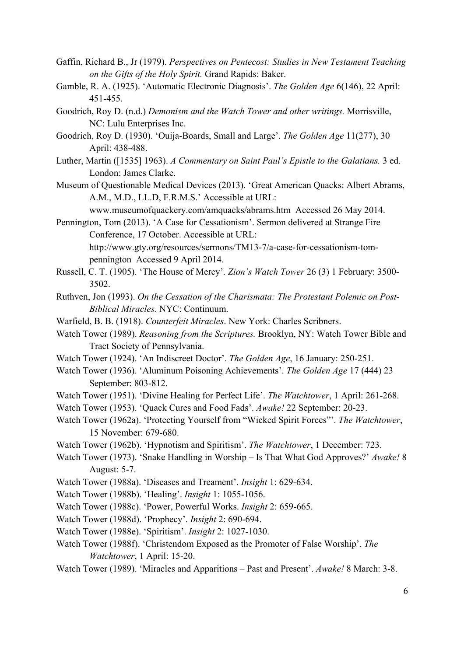- Gaffin, Richard B., Jr (1979). *Perspectives on Pentecost: Studies in New Testament Teaching on the Gifts of the Holy Spirit.* Grand Rapids: Baker.
- Gamble, R. A. (1925). 'Automatic Electronic Diagnosis'. *The Golden Age* 6(146), 22 April: 451-455.
- Goodrich, Roy D. (n.d.) *Demonism and the Watch Tower and other writings.* Morrisville, NC: Lulu Enterprises Inc.
- Goodrich, Roy D. (1930). 'Ouija-Boards, Small and Large'. *The Golden Age* 11(277), 30 April: 438-488.
- Luther, Martin ([1535] 1963). *A Commentary on Saint Paul's Epistle to the Galatians.* 3 ed. London: James Clarke.
- Museum of Questionable Medical Devices (2013). 'Great American Quacks: Albert Abrams, A.M., M.D., LL.D, F.R.M.S.' Accessible at URL:

www.museumofquackery.com/amquacks/abrams.htm Accessed 26 May 2014.

- Pennington, Tom (2013). 'A Case for Cessationism'. Sermon delivered at Strange Fire Conference, 17 October. Accessible at URL: http://www.gty.org/resources/sermons/TM13-7/a-case-for-cessationism-tompennington Accessed 9 April 2014.
- Russell, C. T. (1905). 'The House of Mercy'. *Zion's Watch Tower* 26 (3) 1 February: 3500- 3502.
- Ruthven, Jon (1993). *On the Cessation of the Charismata: The Protestant Polemic on Post-Biblical Miracles.* NYC: Continuum.
- Warfield, B. B. (1918). *Counterfeit Miracles*. New York: Charles Scribners.
- Watch Tower (1989). *Reasoning from the Scriptures.* Brooklyn, NY: Watch Tower Bible and Tract Society of Pennsylvania.
- Watch Tower (1924). 'An Indiscreet Doctor'. *The Golden Age*, 16 January: 250-251.
- Watch Tower (1936). 'Aluminum Poisoning Achievements'. *The Golden Age* 17 (444) 23 September: 803-812.
- Watch Tower (1951). 'Divine Healing for Perfect Life'. *The Watchtower*, 1 April: 261-268.
- Watch Tower (1953). 'Quack Cures and Food Fads'. *Awake!* 22 September: 20-23.
- Watch Tower (1962a). 'Protecting Yourself from "Wicked Spirit Forces"'. *The Watchtower*, 15 November: 679-680.
- Watch Tower (1962b). 'Hypnotism and Spiritism'. *The Watchtower*, 1 December: 723.
- Watch Tower (1973). 'Snake Handling in Worship Is That What God Approves?' *Awake!* 8 August: 5-7.
- Watch Tower (1988a). 'Diseases and Treament'. *Insight* 1: 629-634.
- Watch Tower (1988b). 'Healing'. *Insight* 1: 1055-1056.
- Watch Tower (1988c). 'Power, Powerful Works. *Insight* 2: 659-665.
- Watch Tower (1988d). 'Prophecy'. *Insight* 2: 690-694.
- Watch Tower (1988e). 'Spiritism'. *Insight* 2: 1027-1030.
- Watch Tower (1988f). 'Christendom Exposed as the Promoter of False Worship'. *The Watchtower*, 1 April: 15-20.
- Watch Tower (1989). 'Miracles and Apparitions Past and Present'. *Awake!* 8 March: 3-8.